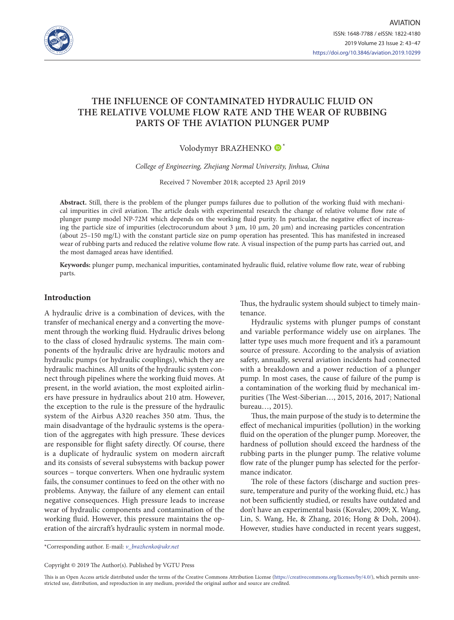

# **THE INFLUENCE OF CONTAMINATED HYDRAULIC FLUID ON THE RELATIVE VOLUME FLOW RATE AND THE WEAR OF RUBBING PARTS OF THE AVIATION PLUNGER PUMP**

Volodymyr BRAZHENKO <sup>\*</sup>

*College of Engineering, Zhejiang Normal University, Jinhua, China*

Received 7 November 2018; accepted 23 April 2019

**Abstract.** Still, there is the problem of the plunger pumps failures due to pollution of the working fluid with mechanical impurities in civil aviation. The article deals with experimental research the change of relative volume flow rate of plunger pump model NP-72M which depends on the working fluid purity. In particular, the negative effect of increasing the particle size of impurities (electrocorundum about 3 μm, 10 μm, 20 μm) and increasing particles concentration (about 25–150 mg/L) with the constant particle size on pump operation has presented. This has manifested in increased wear of rubbing parts and reduced the relative volume flow rate. A visual inspection of the pump parts has carried out, and the most damaged areas have identified.

**Keywords:** plunger pump, mechanical impurities, contaminated hydraulic fluid, relative volume flow rate, wear of rubbing parts.

#### **Introduction**

A hydraulic drive is a combination of devices, with the transfer of mechanical energy and a converting the movement through the working fluid. Hydraulic drives belong to the class of closed hydraulic systems. The main components of the hydraulic drive are hydraulic motors and hydraulic pumps (or hydraulic couplings), which they are hydraulic machines. All units of the hydraulic system connect through pipelines where the working fluid moves. At present, in the world aviation, the most exploited airliners have pressure in hydraulics about 210 atm. However, the exception to the rule is the pressure of the hydraulic system of the Airbus A320 reaches 350 atm. Thus, the main disadvantage of the hydraulic systems is the operation of the aggregates with high pressure. These devices are responsible for flight safety directly. Of course, there is a duplicate of hydraulic system on modern aircraft and its consists of several subsystems with backup power sources – torque converters. When one hydraulic system fails, the consumer continues to feed on the other with no problems. Anyway, the failure of any element can entail negative consequences. High pressure leads to increase wear of hydraulic components and contamination of the working fluid. However, this pressure maintains the operation of the aircraft's hydraulic system in normal mode. Thus, the hydraulic system should subject to timely maintenance.

Hydraulic systems with plunger pumps of constant and variable performance widely use on airplanes. The latter type uses much more frequent and it's a paramount source of pressure. According to the analysis of aviation safety, annually, several aviation incidents had connected with a breakdown and a power reduction of a plunger pump. In most cases, the cause of failure of the pump is a contamination of the working fluid by mechanical impurities (The West-Siberian…, 2015, 2016, 2017; National bureau…, 2015).

Thus, the main purpose of the study is to determine the effect of mechanical impurities (pollution) in the working fluid on the operation of the plunger pump. Moreover, the hardness of pollution should exceed the hardness of the rubbing parts in the plunger pump. The relative volume flow rate of the plunger pump has selected for the performance indicator.

The role of these factors (discharge and suction pressure, temperature and purity of the working fluid, etc.) has not been sufficiently studied, or results have outdated and don't have an experimental basis (Kovalev, 2009; X. Wang, Lin, S. Wang, He, & Zhang, 2016; Hong & Doh, 2004). However, studies have conducted in recent years suggest,

\*Corresponding author. E-mail: *[v\\_brazhenko@ukr.net](mailto:v_brazhenko@ukr.net)*

Copyright © 2019 The Author(s). Published by VGTU Press

This is an Open Access article distributed under the terms of the Creative Commons Attribution License [\(https://creativecommons.org/licenses/by/4.0/\)](http://creativecommons.org/licenses/by/4.0/), which permits unrestricted use, distribution, and reproduction in any medium, provided the original author and source are credited.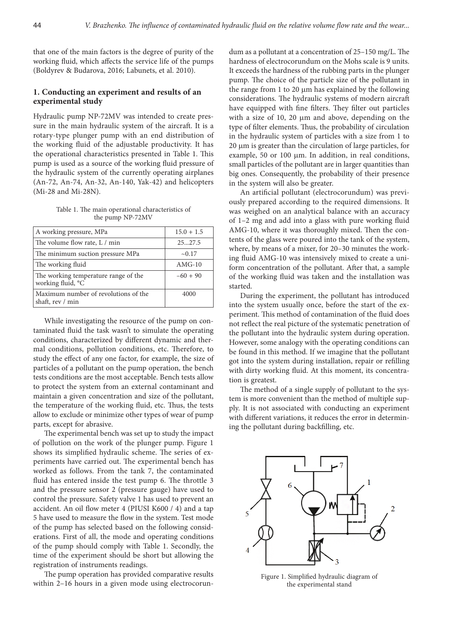that one of the main factors is the degree of purity of the working fluid, which affects the service life of the pumps (Boldyrev & Budarova, 2016; Labunets, et al. 2010).

## **1. Conducting an experiment and results of an experimental study**

Hydraulic pump NP-72MV was intended to create pressure in the main hydraulic system of the aircraft. It is a rotary-type plunger pump with an end distribution of the working fluid of the adjustable productivity. It has the operational characteristics presented in Table 1. This pump is used as a source of the working fluid pressure of the hydraulic system of the currently operating airplanes (An-72, An-74, An-32, An-140, Yak-42) and helicopters (Mi-28 and Mi-28N).

Table 1. The main operational characteristics of the pump NP-72MV

| A working pressure, MPa                                   | $15.0 + 1.5$ |
|-----------------------------------------------------------|--------------|
| The volume flow rate, L / min                             | 2527.5       |
| The minimum suction pressure MPa                          | $\sim 0.17$  |
| The working fluid                                         | $AMG-10$     |
| The working temperature range of the<br>working fluid, °C | $-60 + 90$   |
| Maximum number of revolutions of the<br>shaft, rev / min  | 4000         |

While investigating the resource of the pump on contaminated fluid the task wasn't to simulate the operating conditions, characterized by different dynamic and thermal conditions, pollution conditions, etc. Therefore, to study the effect of any one factor, for example, the size of particles of a pollutant on the pump operation, the bench tests conditions are the most acceptable. Bench tests allow to protect the system from an external contaminant and maintain a given concentration and size of the pollutant, the temperature of the working fluid, etc. Thus, the tests allow to exclude or minimize other types of wear of pump parts, except for abrasive.

The experimental bench was set up to study the impact of pollution on the work of the plunger pump. Figure 1 shows its simplified hydraulic scheme. The series of experiments have carried out. The experimental bench has worked as follows. From the tank 7, the contaminated fluid has entered inside the test pump 6. The throttle 3 and the pressure sensor 2 (pressure gauge) have used to control the pressure. Safety valve 1 has used to prevent an accident. An oil flow meter 4 (PIUSI K600 / 4) and a tap 5 have used to measure the flow in the system. Test mode of the pump has selected based on the following considerations. First of all, the mode and operating conditions of the pump should comply with Table 1. Secondly, the time of the experiment should be short but allowing the registration of instruments readings.

The pump operation has provided comparative results within 2–16 hours in a given mode using electrocorundum as a pollutant at a concentration of 25–150 mg/L. The hardness of electrocorundum on the Mohs scale is 9 units. It exceeds the hardness of the rubbing parts in the plunger pump. The choice of the particle size of the pollutant in the range from 1 to 20 μm has explained by the following considerations. The hydraulic systems of modern aircraft have equipped with fine filters. They filter out particles with a size of 10, 20 μm and above, depending on the type of filter elements. Thus, the probability of circulation in the hydraulic system of particles with a size from 1 to 20 μm is greater than the circulation of large particles, for example, 50 or 100 μm. In addition, in real conditions, small particles of the pollutant are in larger quantities than big ones. Consequently, the probability of their presence in the system will also be greater.

An artificial pollutant (electrocorundum) was previously prepared according to the required dimensions. It was weighed on an analytical balance with an accuracy of 1–2 mg and add into a glass with pure working fluid AMG-10, where it was thoroughly mixed. Then the contents of the glass were poured into the tank of the system, where, by means of a mixer, for 20–30 minutes the working fluid AMG-10 was intensively mixed to create a uniform concentration of the pollutant. After that, a sample of the working fluid was taken and the installation was started.

During the experiment, the pollutant has introduced into the system usually once, before the start of the experiment. This method of contamination of the fluid does not reflect the real picture of the systematic penetration of the pollutant into the hydraulic system during operation. However, some analogy with the operating conditions can be found in this method. If we imagine that the pollutant got into the system during installation, repair or refilling with dirty working fluid. At this moment, its concentration is greatest.

The method of a single supply of pollutant to the system is more convenient than the method of multiple supply. It is not associated with conducting an experiment with different variations, it reduces the error in determining the pollutant during backfilling, etc.



Figure 1. Simplified hydraulic diagram of the experimental stand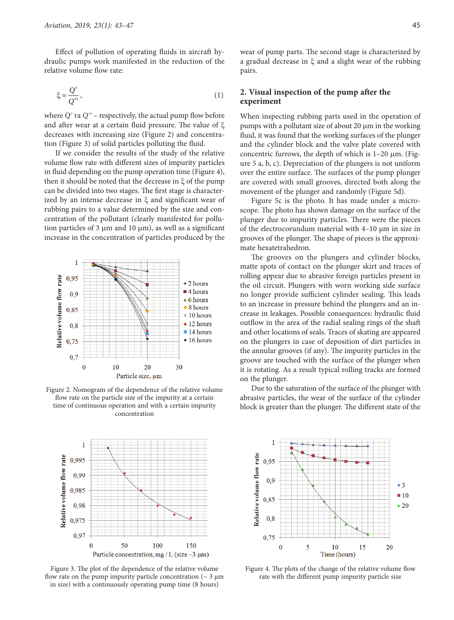Effect of pollution of operating fluids in aircraft hydraulic pumps work manifested in the reduction of the relative volume flow rate:

$$
\xi = \frac{Q'}{Q''},\tag{1}
$$

where *Qʹ* та *Qʹʹ* – respectively, the actual pump flow before and after wear at a certain fluid pressure. The value of ξ decreases with increasing size (Figure 2) and concentration (Figure 3) of solid particles polluting the fluid.

If we consider the results of the study of the relative volume flow rate with different sizes of impurity particles in fluid depending on the pump operation time (Figure 4), then it should be noted that the decrease in ξ of the pump can be divided into two stages. The first stage is characterized by an intense decrease in ξ and significant wear of rubbing pairs to a value determined by the size and concentration of the pollutant (clearly manifested for pollution particles of 3 μm and 10 μm), as well as a significant increase in the concentration of particles produced by the



Figure 2. Nomogram of the dependence of the relative volume flow rate on the particle size of the impurity at a certain time of continuous operation and with a certain impurity concentration



Figure 3. The plot of the dependence of the relative volume flow rate on the pump impurity particle concentration ( $\sim$  3  $\mu$ m in size) with a continuously operating pump time (8 hours)

wear of pump parts. The second stage is characterized by a gradual decrease in ξ and a slight wear of the rubbing pairs.

## **2. Visual inspection of the pump after the experiment**

When inspecting rubbing parts used in the operation of pumps with a pollutant size of about 20 μm in the working fluid, it was found that the working surfaces of the plunger and the cylinder block and the valve plate covered with concentric furrows, the depth of which is 1–20 μm. (Figure 5 a, b, c). Depreciation of the plungers is not uniform over the entire surface. The surfaces of the pump plunger are covered with small grooves, directed both along the movement of the plunger and randomly (Figure 5d).

Figure 5c is the photo. It has made under a microscope. The photo has shown damage on the surface of the plunger due to impurity particles. There were the pieces of the electrocorundum material with 4–10 µm in size in grooves of the plunger. The shape of pieces is the approximate hexatetrahedron.

The grooves on the plungers and cylinder blocks, matte spots of contact on the plunger skirt and traces of rolling appear due to abrasive foreign particles present in the oil circuit. Plungers with worn working side surface no longer provide sufficient cylinder sealing. This leads to an increase in pressure behind the plungers and an increase in leakages. Possible consequences: hydraulic fluid outflow in the area of the radial sealing rings of the shaft and other locations of seals. Traces of skating are appeared on the plungers in case of deposition of dirt particles in the annular grooves (if any). The impurity particles in the groove are touched with the surface of the plunger when it is rotating. As a result typical rolling tracks are formed on the plunger.

Due to the saturation of the surface of the plunger with abrasive particles, the wear of the surface of the cylinder block is greater than the plunger. The different state of the



Figure 4. The plots of the change of the relative volume flow rate with the different pump impurity particle size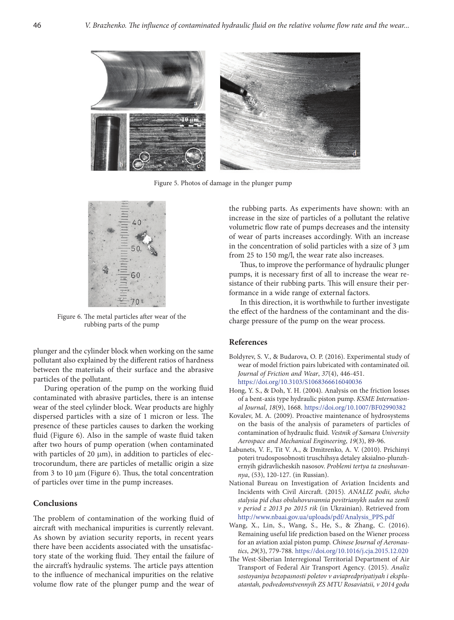

Figure 5. Photos of damage in the plunger pump



Figure 6. The metal particles after wear of the rubbing parts of the pump

plunger and the cylinder block when working on the same pollutant also explained by the different ratios of hardness between the materials of their surface and the abrasive particles of the pollutant.

During operation of the pump on the working fluid contaminated with abrasive particles, there is an intense wear of the steel cylinder block. Wear products are highly dispersed particles with a size of 1 micron or less. The presence of these particles causes to darken the working fluid (Figure 6). Also in the sample of waste fluid taken after two hours of pump operation (when contaminated with particles of 20 μm), in addition to particles of electrocorundum, there are particles of metallic origin a size from 3 to 10 μm (Figure 6). Thus, the total concentration of particles over time in the pump increases.

#### **Сonclusions**

The problem of contamination of the working fluid of aircraft with mechanical impurities is currently relevant. As shown by aviation security reports, in recent years there have been accidents associated with the unsatisfactory state of the working fluid. They entail the failure of the aircraft's hydraulic systems. The article pays attention to the influence of mechanical impurities on the relative volume flow rate of the plunger pump and the wear of the rubbing parts. As experiments have shown: with an increase in the size of particles of a pollutant the relative volumetric flow rate of pumps decreases and the intensity of wear of parts increases accordingly. With an increase in the concentration of solid particles with a size of 3 μm from 25 to 150 mg/l, the wear rate also increases.

Thus, to improve the performance of hydraulic plunger pumps, it is necessary first of all to increase the wear resistance of their rubbing parts. This will ensure their performance in a wide range of external factors.

In this direction, it is worthwhile to further investigate the effect of the hardness of the contaminant and the discharge pressure of the pump on the wear process.

## **References**

- Boldyrev, S. V., & Budarova, O. P. (2016). Experimental study of wear of model friction pairs lubricated with contaminated oil. *Journal of Friction and Wear*, *37*(4), 446-451. <https://doi.org/10.3103/S1068366616040036>
- Hong, Y. S., & Doh, Y. H. (2004). Analysis on the friction losses of a bent-axis type hydraulic piston pump. *KSME International Journal*, *18*(9), 1668. <https://doi.org/10.1007/BF02990382>
- Kovalev, M. A. (2009). Proactive maintenance of hydrosystems on the basis of the analysis of parameters of particles of contamination of hydraulic fluid. *Vestnik of Samara University Aerospace and Mechanical Engineering*, *19*(3), 89-96.
- Labunets, V. F., Tit V. A., & Dmitrenko, A. V. (2010). Prichinyi poteri trudosposobnosti truschihsya detaley aksialno-plunzhernyih gidravlicheskih nasosov. *Problemi tertya ta znoshuvannya*, (53), 120-127. (in Russian).
- National Bureau on Investigation of Aviation Incidents and Incidents with Civil Aircraft. (2015)*. ANALIZ podii, shcho stalysia pid chas obsluhovuvannia povitrianykh suden na zemli v period z 2013 po 2015 rik* (in Ukrainian). Retrieved from [http://www.nbaai.gov.ua/uploads/pdf/Analysis\\_PPS.pdf](http://www.nbaai.gov.ua/uploads/pdf/Analysis_PPS.pdf)
- Wang, X., Lin, S., Wang, S., He, S., & Zhang, C. (2016). Remaining useful life prediction based on the Wiener process for an aviation axial piston pump. *Chinese Journal of Aeronautics*, *29*(3), 779-788. <https://doi.org/10.1016/j.cja.2015.12.020>
- The West-Siberian Interregional Territorial Department of Air Transport of Federal Air Transport Agency*.* (2015). *Analiz sostoyaniya bezopasnosti poletov v aviapredpriyatiyah i ekspluatantah, podvedomstvennyih ZS MTU Rosaviatsii, v 2014 godu*